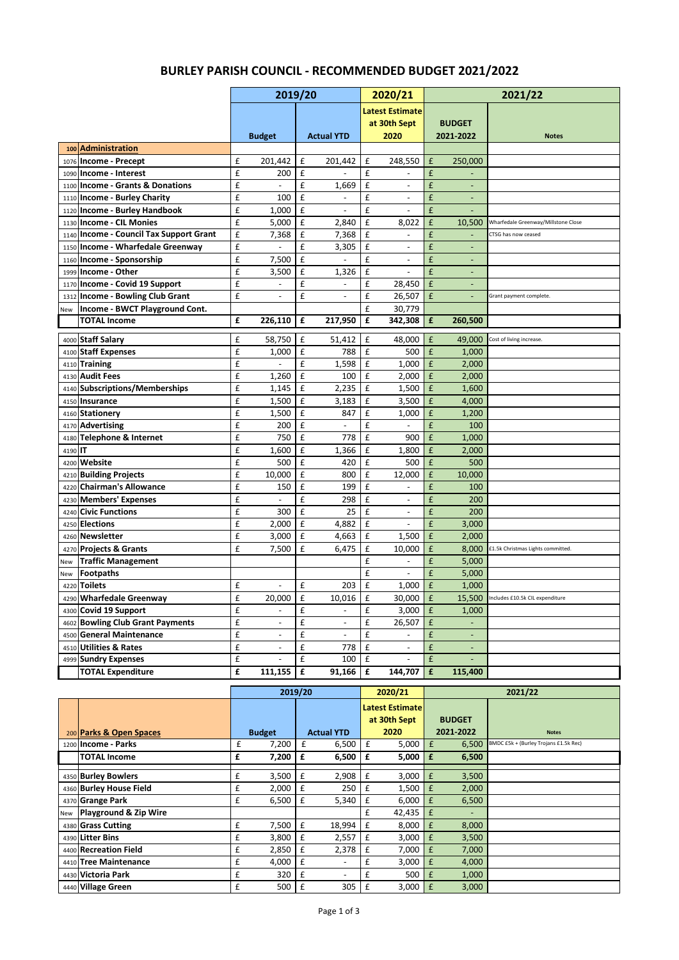|      |                                                                         |                    | 2019/20                      |                  |                          |        | 2020/21                                    |                    |                          | 2021/22                             |
|------|-------------------------------------------------------------------------|--------------------|------------------------------|------------------|--------------------------|--------|--------------------------------------------|--------------------|--------------------------|-------------------------------------|
|      |                                                                         |                    |                              |                  |                          |        | <b>Latest Estimate</b>                     |                    |                          |                                     |
|      |                                                                         |                    |                              |                  |                          |        | at 30th Sept                               |                    | <b>BUDGET</b>            |                                     |
|      |                                                                         |                    | <b>Budget</b>                |                  | <b>Actual YTD</b>        |        | 2020                                       |                    | 2021-2022                | <b>Notes</b>                        |
|      | 100 Administration                                                      |                    |                              |                  |                          |        |                                            |                    |                          |                                     |
| 1076 | Income - Precept                                                        | £                  | 201.442                      | £                | 201,442                  | £      | 248,550                                    | £                  | 250,000                  |                                     |
| 1090 | Income - Interest                                                       | £                  | 200                          | £                |                          | £      |                                            | £                  |                          |                                     |
| 1100 | <b>Income - Grants &amp; Donations</b>                                  | £                  |                              | £                | 1,669                    | £      | $\overline{\phantom{a}}$                   | £                  |                          |                                     |
| 1110 | <b>Income - Burley Charity</b>                                          | £                  | 100                          | £                |                          | £      | $\overline{\phantom{a}}$                   | £                  | $\overline{\phantom{a}}$ |                                     |
| 1120 | <b>Income - Burley Handbook</b>                                         | £                  | 1,000                        | £                | $\overline{\phantom{a}}$ | £      | $\overline{\phantom{a}}$                   | £                  | $\blacksquare$           |                                     |
| 1130 | <b>Income - CIL Monies</b><br><b>Income - Council Tax Support Grant</b> | £<br>£             | 5,000                        | $\mathbf f$<br>£ | 2,840                    | £<br>£ | 8,022<br>$\overline{a}$                    | £<br>£             | 10,500                   | Wharfedale Greenway/Millstone Close |
| 1140 | Income - Wharfedale Greenway                                            | £                  | 7,368                        | £                | 7,368                    | £      |                                            | £                  |                          | CTSG has now ceased                 |
| 1150 |                                                                         | £                  |                              | £                | 3,305                    | £      | $\overline{\phantom{a}}$                   | £                  | $\overline{\phantom{a}}$ |                                     |
| 1160 | Income - Sponsorship<br>Income - Other                                  |                    | 7,500                        |                  |                          | £      | $\overline{\phantom{a}}$<br>$\overline{a}$ | £                  | $\overline{\phantom{a}}$ |                                     |
| 1999 |                                                                         | £                  | 3,500                        | £                | 1,326                    |        |                                            | £                  | $\overline{\phantom{a}}$ |                                     |
| 1170 | Income - Covid 19 Support                                               | £<br>£             | $\qquad \qquad \blacksquare$ | £                | $\overline{a}$           | £      | 28,450                                     |                    | $\overline{\phantom{a}}$ |                                     |
| 1312 | <b>Income - Bowling Club Grant</b>                                      |                    |                              | £                |                          | £<br>£ | 26,507<br>30.779                           | £                  |                          | Grant payment complete.             |
| New  | Income - BWCT Playground Cont.<br><b>TOTAL Income</b>                   | £                  | 226,110                      | £                | 217,950                  | £      | 342,308                                    | £                  | 260,500                  |                                     |
|      |                                                                         |                    |                              |                  |                          |        |                                            |                    |                          |                                     |
|      | 4000 Staff Salary                                                       | £                  | 58,750                       | $\mathbf f$      | 51,412                   | £      | 48.000                                     | £                  | 49,000                   | Cost of living increase.            |
| 4100 | <b>Staff Expenses</b>                                                   | £                  | 1,000                        | £                | 788                      | £      | 500                                        | $\pmb{\mathsf{f}}$ | 1,000                    |                                     |
|      | 4110 Training                                                           | £                  |                              | £                | 1,598                    | £      | 1,000                                      | £                  | 2,000                    |                                     |
|      | 4130 Audit Fees                                                         | £                  | 1,260                        | £                | 100                      | £      | 2,000                                      | £                  | 2,000                    |                                     |
| 4140 | <b>Subscriptions/Memberships</b>                                        | £                  | 1,145                        | £                | 2,235                    | £      | 1,500                                      | $\pmb{\mathsf{f}}$ | 1,600                    |                                     |
| 4150 | Insurance                                                               | £                  | 1,500                        | $\mathbf f$      | 3,183                    | £      | 3,500                                      | £                  | 4,000                    |                                     |
| 4160 | <b>Stationerv</b>                                                       | £                  | 1,500                        | £                | 847                      | £      | 1,000                                      | £                  | 1,200                    |                                     |
|      | 4170 Advertising                                                        | £                  | 200                          | £                | $\overline{a}$           | £      | $\overline{a}$                             | £                  | 100                      |                                     |
| 4180 | Telephone & Internet                                                    | £                  | 750                          | £                | 778                      | £      | 900                                        | £                  | 1,000                    |                                     |
| 4190 | IT                                                                      | £                  | 1,600                        | £                | 1,366                    | £      | 1,800                                      | $\pmb{\mathsf{f}}$ | 2,000                    |                                     |
| 4200 | Website                                                                 | £                  | 500                          | $\mathbf f$      | 420                      | £      | 500                                        | £                  | 500                      |                                     |
| 4210 | <b>Building Projects</b>                                                | £                  | 10,000                       | £                | 800                      | £      | 12,000                                     | £                  | 10,000                   |                                     |
| 4220 | <b>Chairman's Allowance</b>                                             | £                  | 150                          | £                | 199                      | £      | $\overline{\phantom{a}}$                   | £                  | 100                      |                                     |
| 4230 | <b>Members' Expenses</b>                                                | £                  |                              | £                | 298                      | £      | $\overline{a}$                             | £                  | 200                      |                                     |
| 4240 | <b>Civic Functions</b>                                                  | £                  | 300                          | £                | 25                       | £      | $\overline{a}$                             | £                  | 200                      |                                     |
| 4250 | <b>Elections</b>                                                        | £                  | 2,000                        | $\mathbf f$      | 4,882                    | £      |                                            | £                  | 3,000                    |                                     |
| 4260 | <b>Newsletter</b>                                                       | £                  | 3,000                        | £                | 4,663                    | £      | 1,500                                      | £                  | 2,000                    |                                     |
| 4270 | <b>Projects &amp; Grants</b>                                            | £                  | 7,500                        | £                | 6,475                    | £      | 10,000                                     | £                  | 8,000                    | £1.5k Christmas Lights committed.   |
| New  | <b>Traffic Management</b>                                               |                    |                              |                  |                          | £      | $\overline{a}$                             | £                  | 5,000                    |                                     |
| New  | Footpaths                                                               |                    |                              |                  |                          | £      | $\overline{a}$                             | £                  | 5,000                    |                                     |
| 4220 | <b>Toilets</b>                                                          | £                  | $\overline{a}$               | £                | 203                      | £      | 1,000                                      | £                  | 1,000                    |                                     |
|      | 4290 Wharfedale Greenway                                                | £                  | 20,000                       | £                | 10,016                   | £      | 30,000 E                                   |                    | 15,500                   | Includes £10.5k CIL expenditure     |
|      | 4300 Covid 19 Support                                                   | £                  | $\overline{a}$               | £                | $\overline{\phantom{a}}$ | £      | 3,000                                      | f                  | 1,000                    |                                     |
| 4602 | <b>Bowling Club Grant Payments</b>                                      | £                  |                              | £                |                          | £      | 26,507                                     | $\pmb{\mathsf{f}}$ |                          |                                     |
| 4500 | <b>General Maintenance</b>                                              | $\pmb{\mathsf{f}}$ | $\overline{a}$               | £                | $\overline{a}$           | £      | $\omega$                                   | $\pmb{\mathsf{f}}$ | ÷.                       |                                     |
| 4510 | <b>Utilities &amp; Rates</b>                                            | £                  | $\overline{\phantom{a}}$     | £                | 778                      | £      | $\overline{\phantom{a}}$                   | £                  | ÷                        |                                     |
| 4999 | <b>Sundry Expenses</b>                                                  | $\pmb{\mathsf{f}}$ |                              | £                | 100                      | £      |                                            | £                  |                          |                                     |
|      | <b>TOTAL Expenditure</b>                                                | £                  | 111,155                      | £                | 91,166                   | £      | 144,707                                    | £                  | 115,400                  |                                     |

|     |                         |   | 2019/20       |             |                          |   | 2020/21                                | 2021/22 |               |                                       |
|-----|-------------------------|---|---------------|-------------|--------------------------|---|----------------------------------------|---------|---------------|---------------------------------------|
|     |                         |   |               |             |                          |   | <b>Latest Estimate</b><br>at 30th Sept |         | <b>BUDGET</b> |                                       |
|     | 200 Parks & Open Spaces |   | <b>Budget</b> |             | <b>Actual YTD</b>        |   | 2020                                   |         | 2021-2022     | <b>Notes</b>                          |
|     | 1200 Income - Parks     | £ | 7,200         | £           | 6,500                    | £ | 5,000                                  | £       | 6,500         | BMDC £5k + (Burley Trojans £1.5k Rec) |
|     | <b>TOTAL Income</b>     | £ | 7,200         | £           | 6,500                    | £ | 5,000                                  | £       | 6,500         |                                       |
|     |                         |   |               |             |                          |   |                                        |         |               |                                       |
|     | 4350 Burley Bowlers     | £ | 3,500         | £           | 2,908                    | £ | 3,000                                  | £       | 3,500         |                                       |
|     | 4360 Burley House Field | £ | 2,000         | £           | 250                      | £ | 1,500                                  | £       | 2,000         |                                       |
|     | 4370 Grange Park        | £ | 6,500         | £           | 5,340                    | £ | 6,000                                  | £       | 6,500         |                                       |
| New | Playground & Zip Wire   |   |               |             |                          | £ | 42,435                                 | E       |               |                                       |
|     | 4380 Grass Cutting      | £ | 7,500         | £           | 18,994                   | £ | 8,000                                  | £       | 8,000         |                                       |
|     | 4390 Litter Bins        | £ | 3,800         | £           | 2,557                    | £ | 3,000                                  | £       | 3,500         |                                       |
|     | 4400 Recreation Field   | £ | 2,850         | $\mathbf f$ | 2,378                    | £ | 7,000                                  | £       | 7,000         |                                       |
|     | 4410 Tree Maintenance   | £ | 4,000         | £           | $\overline{\phantom{a}}$ | £ | 3,000                                  | £       | 4,000         |                                       |
|     | 4430 Victoria Park      | £ | 320           | £           | $\overline{\phantom{0}}$ | £ | 500                                    | £       | 1,000         |                                       |
|     | 4440 Village Green      | £ | 500           | £           | 305                      | £ | 3,000                                  | £       | 3,000         |                                       |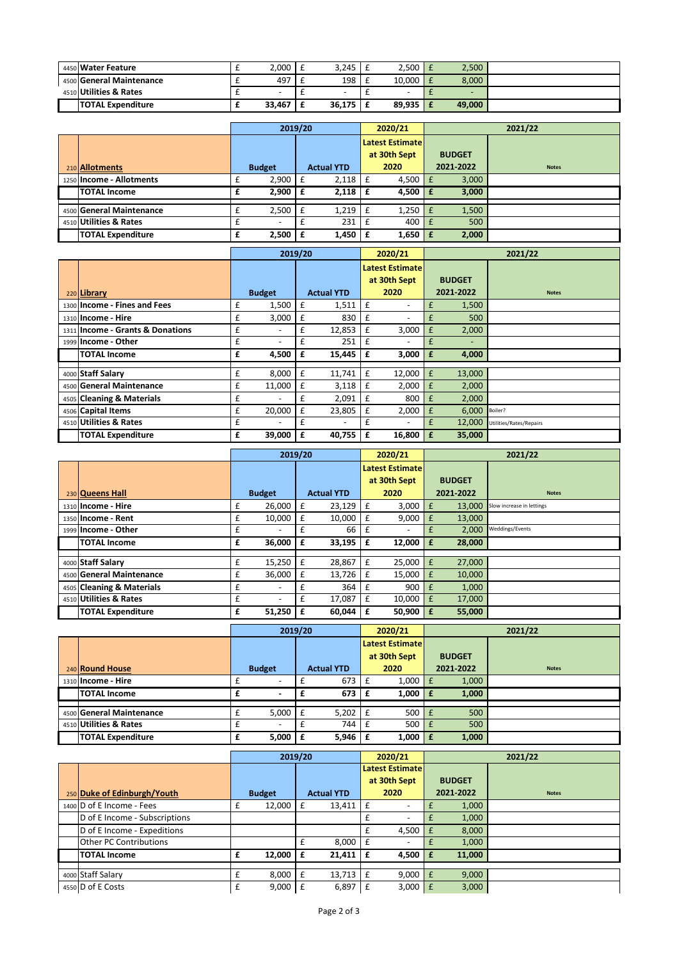| 4450 Water Feature       | 2,000                    | 3,245  |   | 2,500                    | 2,500  |
|--------------------------|--------------------------|--------|---|--------------------------|--------|
| 4500 General Maintenance | 497                      | 198    | - | 10.000                   | 8.000  |
| 4510 Utilities & Rates   | $\overline{\phantom{0}}$ |        |   | $\overline{\phantom{0}}$ |        |
| <b>TOTAL Expenditure</b> | 33,467                   | 36,175 |   | 89.935                   | 49.000 |

|                          |   | 2019/20                  |    |                   | 2020/21                |              |    |               | 2021/22      |
|--------------------------|---|--------------------------|----|-------------------|------------------------|--------------|----|---------------|--------------|
|                          |   |                          |    |                   | <b>Latest Estimate</b> |              |    |               |              |
|                          |   |                          |    |                   |                        | at 30th Sept |    | <b>BUDGET</b> |              |
| 210 Allotments           |   | <b>Budget</b>            |    | <b>Actual YTD</b> |                        | 2020         |    | 2021-2022     | <b>Notes</b> |
| 1250 Income - Allotments | £ | 2,900                    | f  | 2,118             | £                      | 4,500        | ΙF | 3,000         |              |
| <b>TOTAL Income</b>      | £ | 2,900                    | Ι£ | 2,118             | £                      | 4,500        | Ι£ | 3,000         |              |
| 4500 General Maintenance |   | 2,500                    |    | 1,219             |                        | 1,250        |    | 1,500         |              |
|                          |   |                          | £  |                   |                        |              |    |               |              |
| 4510 Utilities & Rates   |   | $\overline{\phantom{a}}$ |    | 231               |                        | 400          |    | 500           |              |
| <b>TOTAL Expenditure</b> | £ | 2,500                    | £  | 1,450             | £                      | 1,650        | ∣£ | 2,000         |              |

|                                  |   | 2019/20       |              |                   |   | 2020/21                |    |               | 2021/22                 |
|----------------------------------|---|---------------|--------------|-------------------|---|------------------------|----|---------------|-------------------------|
|                                  |   |               |              |                   |   | <b>Latest Estimate</b> |    |               |                         |
|                                  |   |               |              |                   |   | at 30th Sept           |    | <b>BUDGET</b> |                         |
| 220 Library                      |   | <b>Budget</b> |              | <b>Actual YTD</b> |   | 2020                   |    | 2021-2022     | <b>Notes</b>            |
| 1300 Income - Fines and Fees     | £ | 1,500         | £            | 1,511             | £ | -                      | £  | 1,500         |                         |
| 1310 Income - Hire               | £ | 3,000         | £            | 830               | £ | -                      | £  | 500           |                         |
| 1311 Income - Grants & Donations | £ |               | £            | 12,853            | £ | 3,000                  | £  | 2,000         |                         |
| 1999 Income - Other              | £ |               | £            | 251               | £ |                        | £  |               |                         |
| <b>TOTAL Income</b>              | £ | 4,500         | £            | 15,445            | £ | 3,000                  | £  | 4,000         |                         |
| 4000 Staff Salary                | £ | 8,000         | $\mathbf{f}$ | 11,741            | £ | 12,000                 | £  | 13,000        |                         |
|                                  |   |               |              |                   |   |                        |    |               |                         |
| 4500 General Maintenance         | £ | 11,000        | £            | 3,118             | £ | 2,000                  | £  | 2,000         |                         |
| 4505 Cleaning & Materials        | £ |               | £            | 2,091             | £ | 800                    | £  | 2,000         |                         |
| 4506 Capital Items               | £ | 20,000        | £            | 23,805            | £ | 2,000                  | £  | 6,000         | Boiler?                 |
| 4510 Utilities & Rates           | £ |               | £            | ٠                 |   | -                      | £  | 12,000        | Utilities/Rates/Repairs |
| <b>TOTAL Expenditure</b>         | £ | 39,000        | £            | 40,755            | £ | 16,800                 | E. | 35,000        |                         |

|                           |   | 2019/20                  |   |                   |   | 2020/21                  |     | 2021/22       |                           |  |
|---------------------------|---|--------------------------|---|-------------------|---|--------------------------|-----|---------------|---------------------------|--|
|                           |   |                          |   |                   |   | <b>Latest Estimate</b>   |     |               |                           |  |
|                           |   |                          |   |                   |   | at 30th Sept             |     | <b>BUDGET</b> |                           |  |
| 230 Queens Hall           |   | <b>Budget</b>            |   | <b>Actual YTD</b> |   | 2020                     |     | 2021-2022     | <b>Notes</b>              |  |
| 1310 Income - Hire        | £ | 26,000                   | £ | 23,129            | £ | 3,000                    |     | 13.000        | Slow increase in lettings |  |
| 1350 Income - Rent        | £ | 10,000                   | £ | 10,000            | £ | 9,000                    | £   | 13,000        |                           |  |
| 1999 Income - Other       | £ | $\overline{\phantom{a}}$ | £ | 66                | £ | $\overline{\phantom{a}}$ | £   | 2.000         | Weddings/Events           |  |
| <b>TOTAL Income</b>       | £ | 36,000                   | £ | 33,195            | £ | 12,000                   | £   | 28,000        |                           |  |
|                           |   |                          |   |                   |   |                          |     |               |                           |  |
| 4000 Staff Salary         | £ | 15,250                   | £ | 28,867            | £ | 25,000                   | E   | 27,000        |                           |  |
| 4500 General Maintenance  | £ | 36,000                   | £ | 13,726            | £ | 15,000                   | £   | 10,000        |                           |  |
| 4505 Cleaning & Materials | £ | $\overline{\phantom{a}}$ | £ | 364               | £ | 900                      | £   | 1,000         |                           |  |
| 4510 Utilities & Rates    | £ | $\overline{\phantom{a}}$ | £ | 17,087            | £ | 10,000                   | £   | 17,000        |                           |  |
| <b>TOTAL Expenditure</b>  | £ | 51,250                   | £ | 60,044            | £ | 50,900                   | I £ | 55,000        |                           |  |

|                          | 2019/20                  |                   |    | 2020/21                | 2021/22       |              |  |
|--------------------------|--------------------------|-------------------|----|------------------------|---------------|--------------|--|
|                          |                          |                   |    | <b>Latest Estimate</b> |               |              |  |
|                          |                          |                   |    | at 30th Sept           | <b>BUDGET</b> |              |  |
| 240 Round House          | <b>Budget</b>            | <b>Actual YTD</b> |    | 2020                   | 2021-2022     | <b>Notes</b> |  |
| 1310 Income - Hire       | $\overline{\phantom{a}}$ | 673               | £  | $1,000$   £            | 1,000         |              |  |
| <b>TOTAL Income</b>      | $\overline{\phantom{0}}$ | 673               | Ι£ | $1,000$   £            | 1,000         |              |  |
|                          |                          |                   |    |                        |               |              |  |
| 4500 General Maintenance | 5,000                    | 5,202             | £  | $500 \mid f$           | 500           |              |  |
| 4510 Utilities & Rates   | $\overline{\phantom{0}}$ | 744               | £  | $500$ $E$              | 500           |              |  |
| <b>TOTAL Expenditure</b> | 5,000                    | $5,946 \mid f$    |    | $1,000$ $E$            | 1,000         |              |  |

|                               |   | 2019/20       |    |                   |   | 2020/21                  |              | 2021/22       |              |  |
|-------------------------------|---|---------------|----|-------------------|---|--------------------------|--------------|---------------|--------------|--|
|                               |   |               |    |                   |   | <b>Latest Estimate</b>   |              |               |              |  |
|                               |   |               |    |                   |   | at 30th Sept             |              | <b>BUDGET</b> |              |  |
| 250 Duke of Edinburgh/Youth   |   | <b>Budget</b> |    | <b>Actual YTD</b> |   | 2020                     |              | 2021-2022     | <b>Notes</b> |  |
| 1400 D of E Income - Fees     |   | 12,000        |    | 13.411            | £ |                          |              | 1,000         |              |  |
| D of E Income - Subscriptions |   |               |    |                   |   |                          |              | 1,000         |              |  |
| D of E Income - Expeditions   |   |               |    |                   |   | 4,500                    | $\mathsf{E}$ | 8,000         |              |  |
| <b>Other PC Contributions</b> |   |               | £  | 8,000             | £ | $\overline{\phantom{a}}$ |              | 1,000         |              |  |
| <b>TOTAL Income</b>           | £ | 12,000        | ۱£ | 21,411            | £ | $4,500$ $E$              |              | 11,000        |              |  |
|                               |   |               |    |                   |   |                          |              |               |              |  |
| 4000 Staff Salary             | £ | 8,000         | Ι£ | 13,713            | £ | $9,000$ $E$              |              | 9,000         |              |  |
| 4550 D of E Costs             | £ | 9,000         |    | 6,897             |   | 3,000                    |              | 3,000         |              |  |